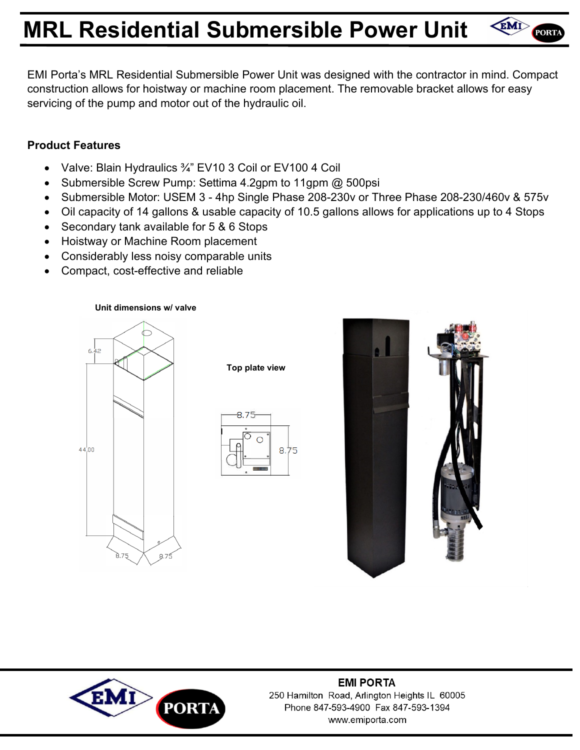# **MRL Residential Submersible Power Unit**



### **Product Features**

- Valve: Blain Hydraulics 3/4" EV10 3 Coil or EV100 4 Coil
- Submersible Screw Pump: Settima 4.2gpm to 11gpm @ 500psi
- Submersible Motor: USEM 3 4hp Single Phase 208-230v or Three Phase 208-230/460v & 575v
- Oil capacity of 14 gallons & usable capacity of 10.5 gallons allows for applications up to 4 Stops
- Secondary tank available for 5 & 6 Stops
- Hoistway or Machine Room placement
- Considerably less noisy comparable units
- Compact, cost-effective and reliable

#### **Unit dimensions w/ valve**



**Top plate view** 





EMI PORTA



#### **EMI PORTA** 250 Hamilton Road, Arlington Heights IL 60005 Phone 847-593-4900 Fax 847-593-1394 www.emiporta.com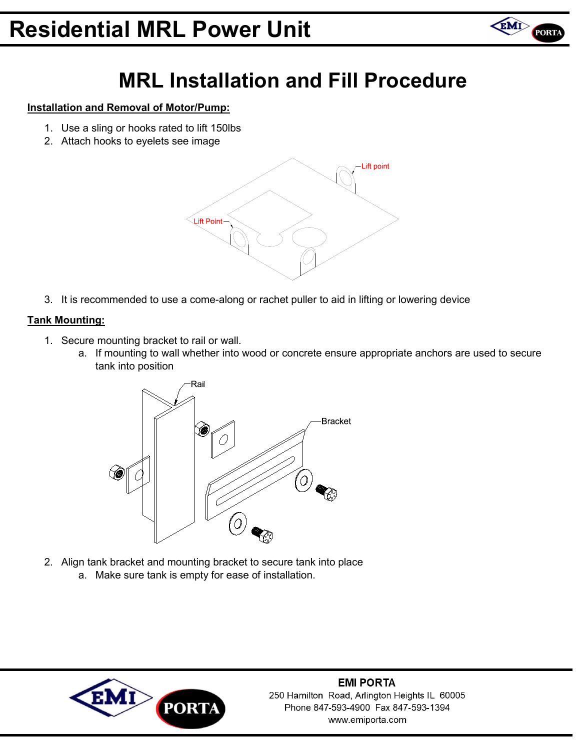## **Residential MRL Power Unit**



### **MRL Installation and Fill Procedure**

#### **Installation and Removal of Motor/Pump:**

- 1. Use a sling or hooks rated to lift 150lbs
- 2. Attach hooks to eyelets see image



3. It is recommended to use a come-along or rachet puller to aid in lifting or lowering device

#### **Tank Mounting:**

- 1. Secure mounting bracket to rail or wall.
	- a. If mounting to wall whether into wood or concrete ensure appropriate anchors are used to secure tank into position



2. Align tank bracket and mounting bracket to secure tank into place a. Make sure tank is empty for ease of installation.



**EMI PORTA** 250 Hamilton Road, Arlington Heights IL 60005 Phone 847-593-4900 Fax 847-593-1394 www.emiporta.com